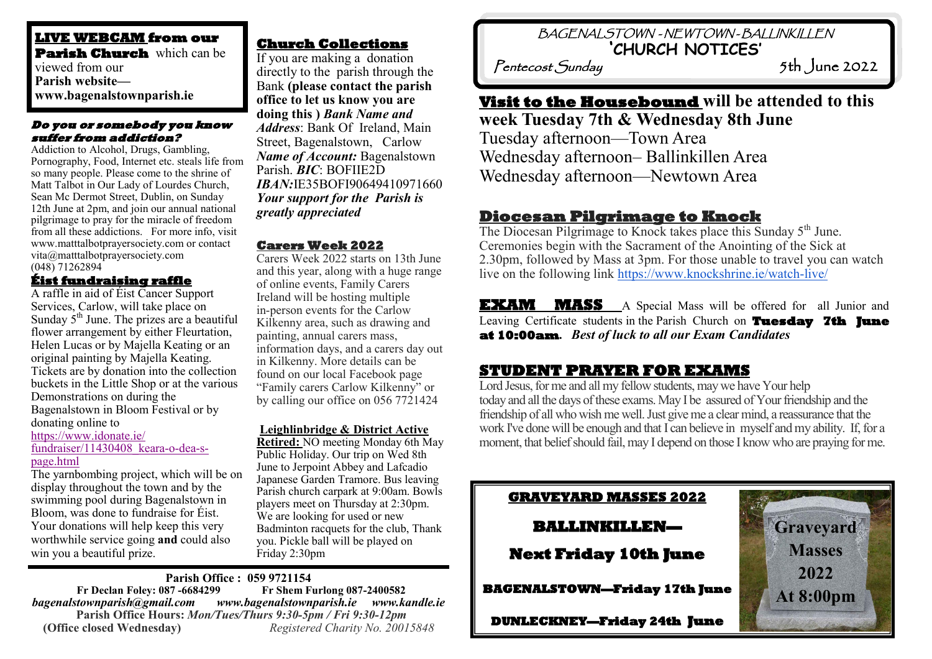**LIVE WEBCAM from our Parish Church** which can be viewed from our **Parish website www.bagenalstownparish.ie**

#### **Do you or somebody you know suffer from addiction?**

Addiction to Alcohol, Drugs, Gambling, Pornography, Food, Internet etc. steals life from so many people. Please come to the shrine of Matt Talbot in Our Lady of Lourdes Church, Sean Mc Dermot Street, Dublin, on Sunday 12th June at 2pm, and join our annual national pilgrimage to pray for the miracle of freedom from all these addictions. For more info, visit www.matttalbotprayersociety.com or contact vita@matttalbotprayersociety.com (048) 71262894

#### **Éist fundraising raffle**

A raffle in aid of Éist Cancer Support Services, Carlow, will take place on Sunday  $5<sup>th</sup>$  June. The prizes are a beautiful flower arrangement by either Fleurtation, Helen Lucas or by Majella Keating or an original painting by Majella Keating. Tickets are by donation into the collection buckets in the Little Shop or at the various Demonstrations on during the Bagenalstown in Bloom Festival or by donating online to [https://www.idonate.ie/](https://www.idonate.ie/fundraiser/11430408_keara-o-dea-s-page.html) [fundraiser/11430408\\_keara](https://www.idonate.ie/fundraiser/11430408_keara-o-dea-s-page.html)-o-dea-s[page.html](https://www.idonate.ie/fundraiser/11430408_keara-o-dea-s-page.html)

The yarnbombing project, which will be on display throughout the town and by the swimming pool during Bagenalstown in Bloom, was done to fundraise for Éist. Your donations will help keep this very worthwhile service going **and** could also win you a beautiful prize.

# **Church Collections**

If you are making a donation directly to the parish through the Bank **(please contact the parish office to let us know you are doing this )** *Bank Name and Address*: Bank Of Ireland, Main Street, Bagenalstown, Carlow *Name of Account:* Bagenalstown Parish. *BIC*: BOFIIE2D *IBAN:*IE35BOFI90649410971660 *Your support for the Parish is greatly appreciated*

#### **Carers Week 2022**

Carers Week 2022 starts on 13th June and this year, along with a huge range of online events, Family Carers Ireland will be hosting multiple in-person events for the Carlow Kilkenny area, such as drawing and painting, annual carers mass, information days, and a carers day out in Kilkenny. More details can be found on our local Facebook page "Family carers Carlow Kilkenny" or by calling our office on 056 7721424

#### **Leighlinbridge & District Active**

**Retired:** NO meeting Monday 6th May Public Holiday. Our trip on Wed 8th June to Jerpoint Abbey and Lafcadio Japanese Garden Tramore. Bus leaving Parish church carpark at 9:00am. Bowls players meet on Thursday at 2:30pm. We are looking for used or new Badminton racquets for the club, Thank you. Pickle ball will be played on Friday 2:30pm

**Parish Office : 059 9721154 Fr Declan Foley: 087 -6684299** *bagenalstownparish@gmail.com www.bagenalstownparish.ie www.kandle.ie* **Parish Office Hours:** *Mon/Tues/Thurs 9:30-5pm / Fri 9:30-12pm* **(Office closed Wednesday)** *Registered Charity No. 20015848*

 BAGENALSTOWN - NEWTOWN - BALLINKILLEN **'CHURCH NOTICES'** 

Pentecost Sunday 5th June 2022

# **Visit to the Housebound will be attended to this**

**week Tuesday 7th & Wednesday 8th June** Tuesday afternoon—Town Area Wednesday afternoon– Ballinkillen Area Wednesday afternoon—Newtown Area

# **Diocesan Pilgrimage to Knock**

The Diocesan Pilgrimage to Knock takes place this Sunday 5<sup>th</sup> June. Ceremonies begin with the Sacrament of the Anointing of the Sick at 2.30pm, followed by Mass at 3pm. For those unable to travel you can watch live on the following link [https://www.knockshrine.ie/watch](https://www.knockshrine.ie/watch-live/)-live/

**EXAM MASS** A Special Mass will be offered for all Junior and Leaving Certificate students in the Parish Church on **Tuesday 7th June at 10:00am.** *Best of luck to all our Exam Candidates* 

# **STUDENT PRAYER FOR EXAMS**

Lord Jesus, for me and all my fellow students, may we have Your help today and all the days of these exams. May I be assured of Your friendship and the friendship of all who wish me well. Just give me a clear mind, a reassurance that the work I've done will be enough and that I can believe in myself and my ability. If, for a moment, that belief should fail, may I depend on those I know who are praying for me.